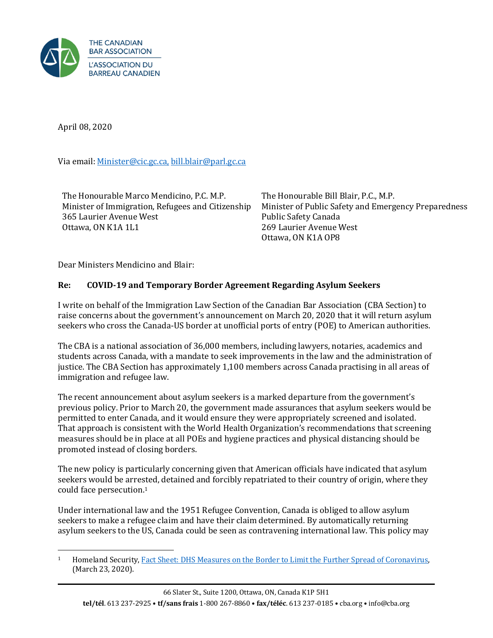

April 08, 2020

Via email[: Minister@cic.gc.ca,](mailto:Minister@cic.gc.ca) [bill.blair@parl.gc.ca](mailto:BILL.BLAIR@PARL.GC.CA)

The Honourable Marco Mendicino, P.C. M.P. Minister of Immigration, Refugees and Citizenship 365 Laurier Avenue West Ottawa, ON K1A 1L1

The Honourable Bill Blair, P.C., M.P. Minister of Public Safety and Emergency Preparedness Public Safety Canada 269 Laurier Avenue West Ottawa, ON K1A OP8

Dear Ministers Mendicino and Blair:

## **Re: COVID-19 and Temporary Border Agreement Regarding Asylum Seekers**

I write on behalf of the Immigration Law Section of the Canadian Bar Association (CBA Section) to raise concerns about the government's announcement on March 20, 2020 that it will return asylum seekers who cross the Canada-US border at unofficial ports of entry (POE) to American authorities.

The CBA is a national association of 36,000 members, including lawyers, notaries, academics and students across Canada, with a mandate to seek improvements in the law and the administration of justice. The CBA Section has approximately 1,100 members across Canada practising in all areas of immigration and refugee law.

The recent announcement about asylum seekers is a marked departure from the government's previous policy. Prior to March 20, the government made assurances that asylum seekers would be permitted to enter Canada, and it would ensure they were appropriately screened and isolated. That approach is consistent with the World Health Organization's recommendations that screening measures should be in place at all POEs and hygiene practices and physical distancing should be promoted instead of closing borders.

The new policy is particularly concerning given that American officials have indicated that asylum seekers would be arrested, detained and forcibly repatriated to their country of origin, where they could face persecution.<sup>1</sup>

Under international law and the 1951 Refugee Convention, Canada is obliged to allow asylum seekers to make a refugee claim and have their claim determined. By automatically returning asylum seekers to the US, Canada could be seen as contravening international law. This policy may

<sup>&</sup>lt;sup>1</sup> Homeland Security[, Fact Sheet: DHS Measures on the Border to Limit the Further Spread of Coronavirus,](https://www.dhs.gov/news/2020/03/23/fact-sheet-dhs-measures-border-limit-further-spread-coronavirus) (March 23, 2020).